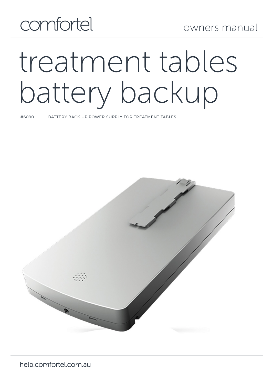## comfortel

# treatment tables battery backup

#6090 BATTERY BACK UP POWER SUPPLY FOR TREATMENT TABLES

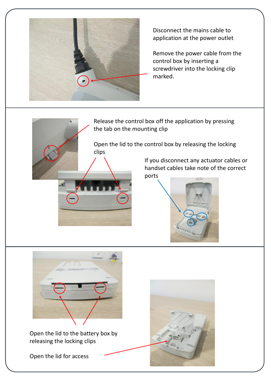

Disconnect the mains cable to application at the power outlet

Remove the power cable from the control box by inserting a screwdriver into the locking clip marked.

Release the control box off the application by pressing the tab on the mounting clip

Open the lid to the control box by releasing the locking clips

> If you disconnect any actuator cables or handset cables take note of the correct ports



![](_page_1_Picture_7.jpeg)

Open the lid to the battery box by releasing the locking clips

Open the lid for access

**2** BA21 Installation Instructions 03/2019

![](_page_1_Picture_10.jpeg)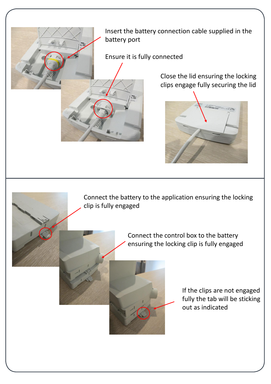![](_page_2_Picture_0.jpeg)

Ensure it is fully connected

Close the lid ensuring the locking clips engage fully securing the lid

![](_page_2_Picture_3.jpeg)

Connect the battery to the application ensuring the locking clip is fully engaged

> Connect the control box to the battery ensuring the locking clip is fully engaged

![](_page_2_Picture_6.jpeg)

**5** BA21 Installation Instructions 03/2019

If the clips are not engaged fully the tab will be sticking out as indicated